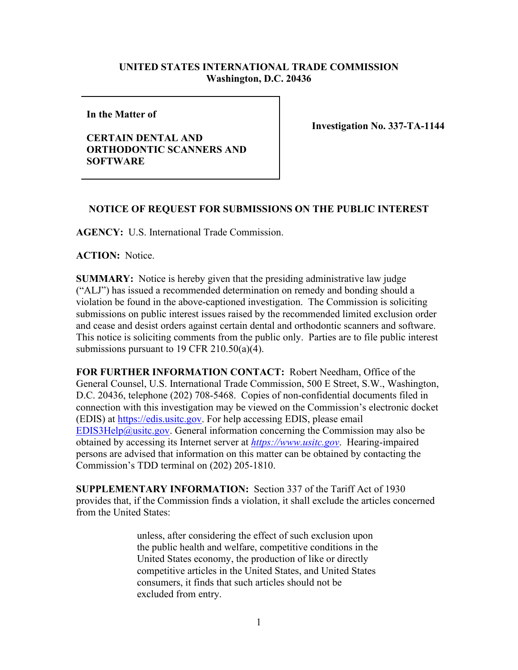## **UNITED STATES INTERNATIONAL TRADE COMMISSION Washington, D.C. 20436**

**In the Matter of** 

**CERTAIN DENTAL AND ORTHODONTIC SCANNERS AND SOFTWARE**

**Investigation No. 337-TA-1144**

## **NOTICE OF REQUEST FOR SUBMISSIONS ON THE PUBLIC INTEREST**

**AGENCY:** U.S. International Trade Commission.

**ACTION:** Notice.

**SUMMARY:** Notice is hereby given that the presiding administrative law judge ("ALJ") has issued a recommended determination on remedy and bonding should a violation be found in the above-captioned investigation. The Commission is soliciting submissions on public interest issues raised by the recommended limited exclusion order and cease and desist orders against certain dental and orthodontic scanners and software. This notice is soliciting comments from the public only. Parties are to file public interest submissions pursuant to 19 CFR 210.50(a)(4).

**FOR FURTHER INFORMATION CONTACT:** Robert Needham, Office of the General Counsel, U.S. International Trade Commission, 500 E Street, S.W., Washington, D.C. 20436, telephone (202) 708-5468. Copies of non-confidential documents filed in connection with this investigation may be viewed on the Commission's electronic docket (EDIS) at [https://edis.usitc.gov.](https://edis.usitc.gov/) For help accessing EDIS, please email [EDIS3Help@usitc.gov.](mailto:EDIS3Help@usitc.gov) General information concerning the Commission may also be obtained by accessing its Internet server at *[https://www.usitc.gov](https://www.usitc.gov/)*. Hearing-impaired persons are advised that information on this matter can be obtained by contacting the Commission's TDD terminal on (202) 205-1810.

**SUPPLEMENTARY INFORMATION:** Section 337 of the Tariff Act of 1930 provides that, if the Commission finds a violation, it shall exclude the articles concerned from the United States:

> unless, after considering the effect of such exclusion upon the public health and welfare, competitive conditions in the United States economy, the production of like or directly competitive articles in the United States, and United States consumers, it finds that such articles should not be excluded from entry.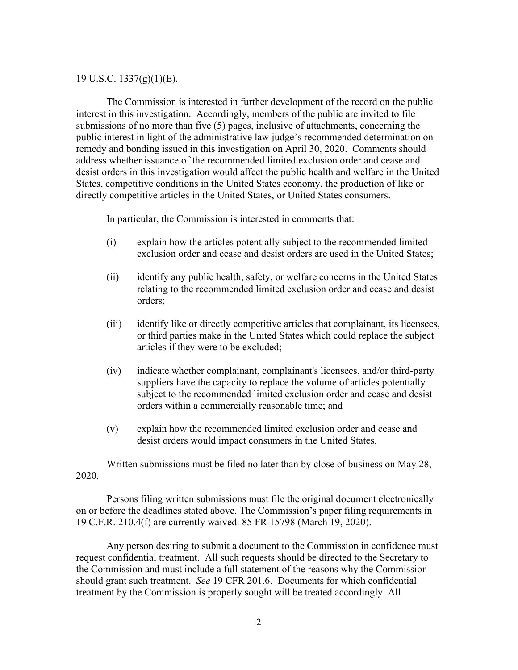## 19 U.S.C. 1337(g)(1)(E).

The Commission is interested in further development of the record on the public interest in this investigation. Accordingly, members of the public are invited to file submissions of no more than five (5) pages, inclusive of attachments, concerning the public interest in light of the administrative law judge's recommended determination on remedy and bonding issued in this investigation on April 30, 2020.Comments should address whether issuance of the recommended limited exclusion order and cease and desist orders in this investigation would affect the public health and welfare in the United States, competitive conditions in the United States economy, the production of like or directly competitive articles in the United States, or United States consumers.

In particular, the Commission is interested in comments that:

- (i) explain how the articles potentially subject to the recommended limited exclusion order and cease and desist orders are used in the United States;
- (ii) identify any public health, safety, or welfare concerns in the United States relating to the recommended limited exclusion order and cease and desist orders;
- (iii) identify like or directly competitive articles that complainant, its licensees, or third parties make in the United States which could replace the subject articles if they were to be excluded;
- (iv) indicate whether complainant, complainant's licensees, and/or third-party suppliers have the capacity to replace the volume of articles potentially subject to the recommended limited exclusion order and cease and desist orders within a commercially reasonable time; and
- (v) explain how the recommended limited exclusion order and cease and desist orders would impact consumers in the United States.

Written submissions must be filed no later than by close of business on May 28, 2020.

Persons filing written submissions must file the original document electronically on or before the deadlines stated above. The Commission's paper filing requirements in 19 C.F.R. 210.4(f) are currently waived. 85 FR 15798 (March 19, 2020).

Any person desiring to submit a document to the Commission in confidence must request confidential treatment. All such requests should be directed to the Secretary to the Commission and must include a full statement of the reasons why the Commission should grant such treatment. *See* 19 CFR 201.6. Documents for which confidential treatment by the Commission is properly sought will be treated accordingly. All